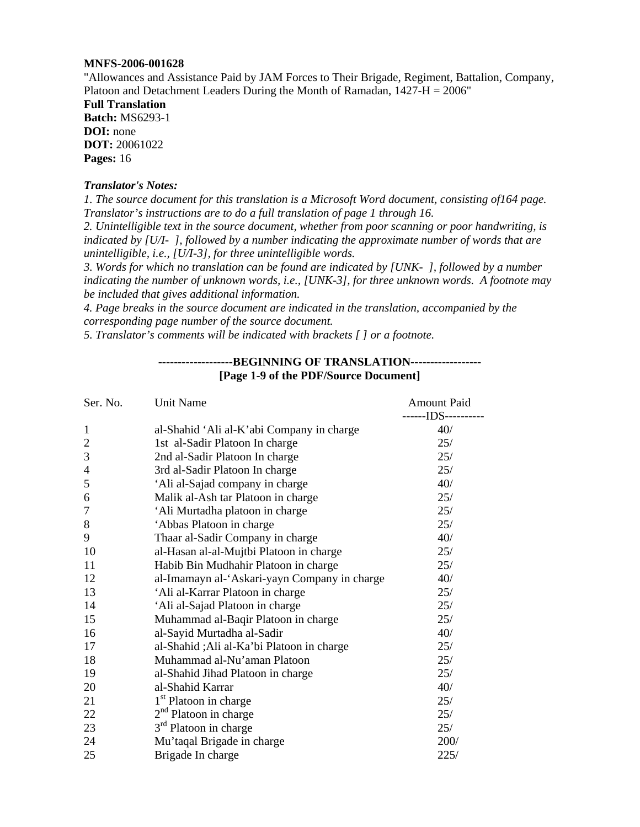#### **MNFS-2006-001628**

"Allowances and Assistance Paid by JAM Forces to Their Brigade, Regiment, Battalion, Company, Platoon and Detachment Leaders During the Month of Ramadan, 1427-H = 2006"

**Full Translation Batch:** MS6293-1 **DOI:** none **DOT:** 20061022 **Pages:** 16

#### *Translator's Notes:*

*1. The source document for this translation is a Microsoft Word document, consisting of164 page. Translator's instructions are to do a full translation of page 1 through 16.* 

*2. Unintelligible text in the source document, whether from poor scanning or poor handwriting, is indicated by [U/I- ], followed by a number indicating the approximate number of words that are unintelligible, i.e., [U/I-3], for three unintelligible words.* 

*3. Words for which no translation can be found are indicated by [UNK- ], followed by a number indicating the number of unknown words, i.e., [UNK-3], for three unknown words. A footnote may be included that gives additional information.* 

*4. Page breaks in the source document are indicated in the translation, accompanied by the corresponding page number of the source document.* 

*5. Translator's comments will be indicated with brackets [ ] or a footnote.* 

### **-------------------BEGINNING OF TRANSLATION------------------ [Page 1-9 of the PDF/Source Document]**

| Ser. No.       | Unit Name                                    | <b>Amount Paid</b><br>-------IDS---------- |
|----------------|----------------------------------------------|--------------------------------------------|
| $\mathbf{1}$   | al-Shahid 'Ali al-K'abi Company in charge    | 40/                                        |
| $\overline{2}$ | 1st al-Sadir Platoon In charge               | 25/                                        |
| 3              | 2nd al-Sadir Platoon In charge               | 25/                                        |
| $\overline{4}$ | 3rd al-Sadir Platoon In charge               | 25/                                        |
| 5              | 'Ali al-Sajad company in charge              | 40/                                        |
| 6              | Malik al-Ash tar Platoon in charge           | 25/                                        |
| 7              | 'Ali Murtadha platoon in charge              | 25/                                        |
| $8\,$          | 'Abbas Platoon in charge                     | 25/                                        |
| 9              | Thaar al-Sadir Company in charge             | 40/                                        |
| 10             | al-Hasan al-al-Mujtbi Platoon in charge      | 25/                                        |
| 11             | Habib Bin Mudhahir Platoon in charge         | 25/                                        |
| 12             | al-Imamayn al-'Askari-yayn Company in charge | 40/                                        |
| 13             | 'Ali al-Karrar Platoon in charge             | 25/                                        |
| 14             | 'Ali al-Sajad Platoon in charge              | 25/                                        |
| 15             | Muhammad al-Baqir Platoon in charge          | 25/                                        |
| 16             | al-Sayid Murtadha al-Sadir                   | 40/                                        |
| 17             | al-Shahid ;Ali al-Ka'bi Platoon in charge    | 25/                                        |
| 18             | Muhammad al-Nu'aman Platoon                  | 25/                                        |
| 19             | al-Shahid Jihad Platoon in charge            | 25/                                        |
| 20             | al-Shahid Karrar                             | 40/                                        |
| 21             | 1 <sup>st</sup> Platoon in charge            | 25/                                        |
| 22             | $2nd$ Platoon in charge                      | 25/                                        |
| 23             | $3rd$ Platoon in charge                      | 25/                                        |
| 24             | Mu'taqal Brigade in charge                   | 200/                                       |
| 25             | Brigade In charge                            | 225/                                       |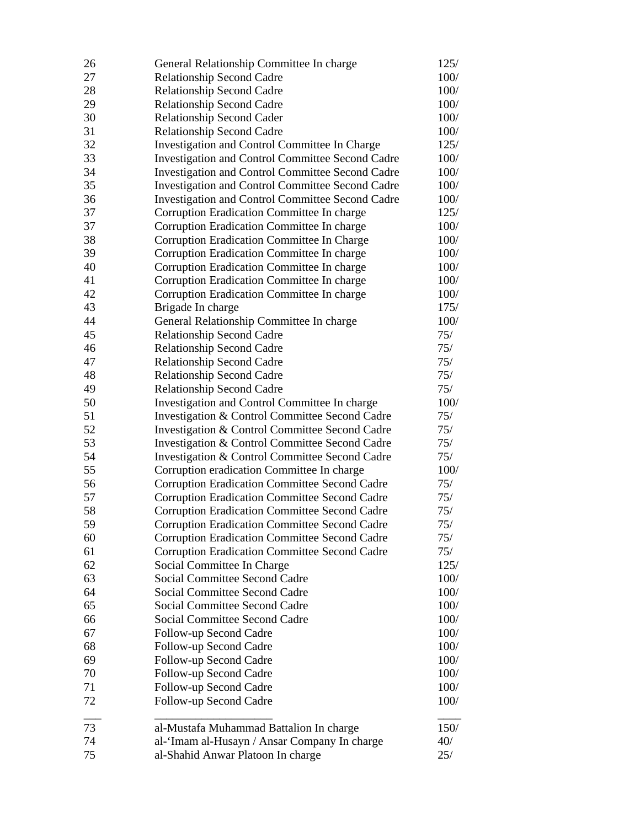| 26 | General Relationship Committee In charge                | 125/ |
|----|---------------------------------------------------------|------|
| 27 | <b>Relationship Second Cadre</b>                        | 100/ |
| 28 | <b>Relationship Second Cadre</b>                        | 100/ |
| 29 | <b>Relationship Second Cadre</b>                        | 100/ |
| 30 | <b>Relationship Second Cader</b>                        | 100/ |
| 31 | <b>Relationship Second Cadre</b>                        | 100/ |
| 32 | Investigation and Control Committee In Charge           | 125/ |
| 33 | <b>Investigation and Control Committee Second Cadre</b> | 100/ |
| 34 | <b>Investigation and Control Committee Second Cadre</b> | 100/ |
| 35 | <b>Investigation and Control Committee Second Cadre</b> | 100/ |
| 36 | <b>Investigation and Control Committee Second Cadre</b> | 100/ |
| 37 | Corruption Eradication Committee In charge              | 125/ |
| 37 | Corruption Eradication Committee In charge              | 100/ |
| 38 | Corruption Eradication Committee In Charge              | 100/ |
| 39 | Corruption Eradication Committee In charge              | 100/ |
| 40 | Corruption Eradication Committee In charge              | 100/ |
| 41 | Corruption Eradication Committee In charge              | 100/ |
| 42 | Corruption Eradication Committee In charge              | 100/ |
| 43 | Brigade In charge                                       | 175/ |
| 44 | General Relationship Committee In charge                | 100/ |
| 45 | <b>Relationship Second Cadre</b>                        | 75/  |
| 46 | <b>Relationship Second Cadre</b>                        | 75/  |
| 47 | <b>Relationship Second Cadre</b>                        | 75/  |
| 48 | <b>Relationship Second Cadre</b>                        | 75/  |
| 49 | Relationship Second Cadre                               | 75/  |
| 50 | Investigation and Control Committee In charge           | 100/ |
| 51 | Investigation & Control Committee Second Cadre          | 75/  |
| 52 | Investigation & Control Committee Second Cadre          | 75/  |
| 53 | Investigation & Control Committee Second Cadre          | 75/  |
| 54 | Investigation & Control Committee Second Cadre          | 75/  |
| 55 | Corruption eradication Committee In charge              | 100/ |
| 56 | <b>Corruption Eradication Committee Second Cadre</b>    | 75/  |
| 57 | <b>Corruption Eradication Committee Second Cadre</b>    | 75/  |
| 58 | <b>Corruption Eradication Committee Second Cadre</b>    | 75/  |
| 59 | <b>Corruption Eradication Committee Second Cadre</b>    | 75/  |
| 60 | <b>Corruption Eradication Committee Second Cadre</b>    | 75/  |
| 61 | <b>Corruption Eradication Committee Second Cadre</b>    | 75/  |
| 62 | Social Committee In Charge                              | 125/ |
| 63 | <b>Social Committee Second Cadre</b>                    | 100/ |
| 64 | Social Committee Second Cadre                           | 100/ |
| 65 | <b>Social Committee Second Cadre</b>                    | 100/ |
| 66 | <b>Social Committee Second Cadre</b>                    | 100/ |
| 67 | Follow-up Second Cadre                                  | 100/ |
| 68 | Follow-up Second Cadre                                  | 100/ |
| 69 | Follow-up Second Cadre                                  | 100/ |
| 70 | Follow-up Second Cadre                                  | 100/ |
| 71 | Follow-up Second Cadre                                  | 100/ |
| 72 | Follow-up Second Cadre                                  | 100/ |
| 73 | al-Mustafa Muhammad Battalion In charge                 | 150/ |
| 74 | al-'Imam al-Husayn / Ansar Company In charge            | 40/  |
| 75 | al-Shahid Anwar Platoon In charge                       | 25/  |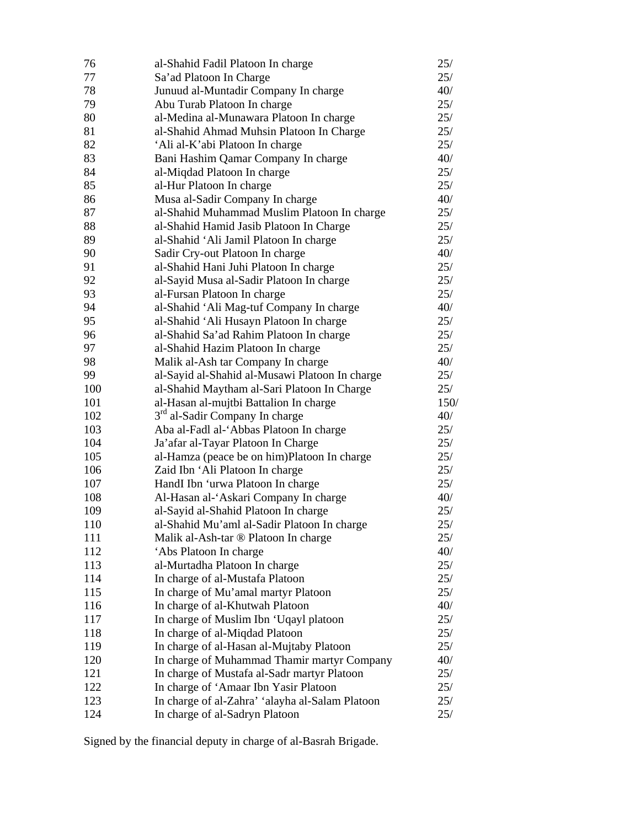| 76         | al-Shahid Fadil Platoon In charge                                                        | 25/        |
|------------|------------------------------------------------------------------------------------------|------------|
| 77         | Sa'ad Platoon In Charge                                                                  | 25/        |
| 78         | Junuud al-Muntadir Company In charge                                                     | 40/        |
| 79         | Abu Turab Platoon In charge                                                              | 25/        |
| 80         | al-Medina al-Munawara Platoon In charge                                                  | 25/        |
| 81         | al-Shahid Ahmad Muhsin Platoon In Charge                                                 | 25/        |
| 82         | 'Ali al-K'abi Platoon In charge                                                          | 25/        |
| 83         | Bani Hashim Qamar Company In charge                                                      | 40/        |
| 84         | al-Miqdad Platoon In charge                                                              | 25/        |
| 85         | al-Hur Platoon In charge                                                                 | 25/        |
| 86         | Musa al-Sadir Company In charge                                                          | 40/        |
| 87         | al-Shahid Muhammad Muslim Platoon In charge                                              | 25/        |
| 88         | al-Shahid Hamid Jasib Platoon In Charge                                                  | 25/        |
| 89         | al-Shahid 'Ali Jamil Platoon In charge                                                   | 25/        |
| 90         | Sadir Cry-out Platoon In charge                                                          | 40/        |
| 91         | al-Shahid Hani Juhi Platoon In charge                                                    | 25/        |
| 92         | al-Sayid Musa al-Sadir Platoon In charge                                                 | 25/        |
| 93         | al-Fursan Platoon In charge                                                              | 25/        |
| 94         | al-Shahid 'Ali Mag-tuf Company In charge                                                 | 40/        |
| 95         | al-Shahid 'Ali Husayn Platoon In charge                                                  | 25/        |
| 96         | al-Shahid Sa'ad Rahim Platoon In charge                                                  | 25/        |
| 97         | al-Shahid Hazim Platoon In charge                                                        | 25/        |
| 98         | Malik al-Ash tar Company In charge                                                       | 40/        |
| 99         | al-Sayid al-Shahid al-Musawi Platoon In charge                                           | 25/        |
| 100        | al-Shahid Maytham al-Sari Platoon In Charge                                              | 25/        |
| 101        | al-Hasan al-mujtbi Battalion In charge                                                   | 150/       |
| 102        | 3 <sup>rd</sup> al-Sadir Company In charge                                               | 40/        |
| 103        | Aba al-Fadl al-'Abbas Platoon In charge                                                  | 25/        |
| 104        | Ja'afar al-Tayar Platoon In Charge                                                       | 25/        |
| 105        | al-Hamza (peace be on him)Platoon In charge                                              | 25/        |
| 106        | Zaid Ibn 'Ali Platoon In charge                                                          | 25/        |
| 107        | HandI Ibn 'urwa Platoon In charge                                                        | 25/        |
| 108        | Al-Hasan al-'Askari Company In charge                                                    | 40/        |
| 109        | al-Sayid al-Shahid Platoon In charge                                                     | 25/        |
| 110        | al-Shahid Mu'aml al-Sadir Platoon In charge                                              | 25/        |
| 111        | Malik al-Ash-tar ® Platoon In charge                                                     | 25/        |
| 112        | 'Abs Platoon In charge                                                                   | 40/        |
| 113        | al-Murtadha Platoon In charge                                                            | 25/        |
| 114        | In charge of al-Mustafa Platoon                                                          | 25/        |
| 115        | In charge of Mu'amal martyr Platoon                                                      | 25/        |
| 116        | In charge of al-Khutwah Platoon                                                          | 40/        |
| 117        | In charge of Muslim Ibn 'Uqayl platoon                                                   | 25/        |
| 118        | In charge of al-Miqdad Platoon                                                           | 25/        |
| 119<br>120 | In charge of al-Hasan al-Mujtaby Platoon                                                 | 25/<br>40/ |
| 121        | In charge of Muhammad Thamir martyr Company                                              | 25/        |
| 122        | In charge of Mustafa al-Sadr martyr Platoon                                              | 25/        |
| 123        | In charge of 'Amaar Ibn Yasir Platoon<br>In charge of al-Zahra' 'alayha al-Salam Platoon | 25/        |
| 124        | In charge of al-Sadryn Platoon                                                           | 25/        |
|            |                                                                                          |            |

Signed by the financial deputy in charge of al-Basrah Brigade.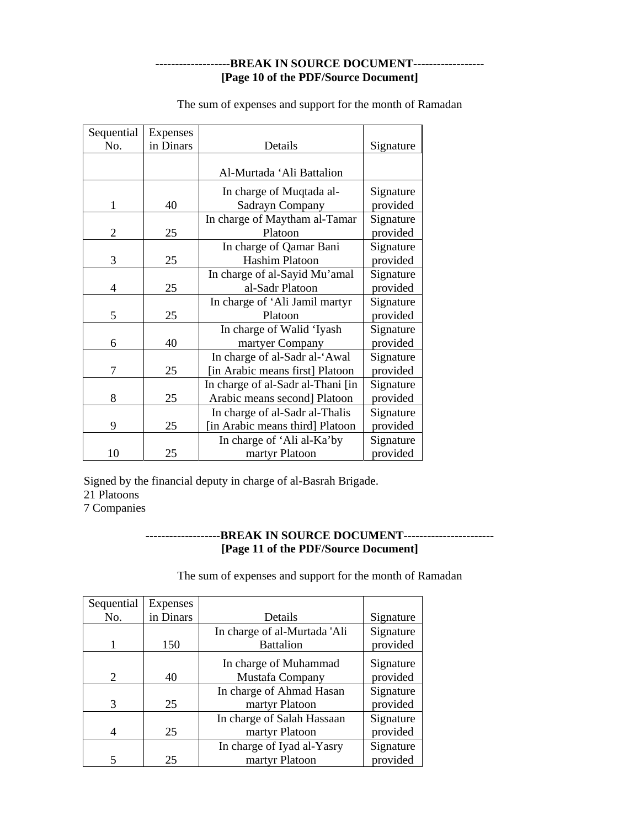## **-------------------BREAK IN SOURCE DOCUMENT------------------ [Page 10 of the PDF/Source Document]**

| Sequential     | Expenses  |                                   |           |
|----------------|-----------|-----------------------------------|-----------|
| No.            | in Dinars | Details                           | Signature |
|                |           |                                   |           |
|                |           | Al-Murtada 'Ali Battalion         |           |
|                |           | In charge of Muqtada al-          | Signature |
| 1              | 40        | Sadrayn Company                   | provided  |
|                |           | In charge of Maytham al-Tamar     | Signature |
| $\overline{2}$ | 25        | Platoon                           | provided  |
|                |           | In charge of Qamar Bani           | Signature |
| 3              | 25        | <b>Hashim Platoon</b>             | provided  |
|                |           | In charge of al-Sayid Mu'amal     | Signature |
| 4              | 25        | al-Sadr Platoon                   | provided  |
|                |           | In charge of 'Ali Jamil martyr    | Signature |
| 5              | 25        | Platoon                           | provided  |
|                |           | In charge of Walid 'Iyash         | Signature |
| 6              | 40        | martyer Company                   | provided  |
|                |           | In charge of al-Sadr al-'Awal     | Signature |
| 7              | 25        | [in Arabic means first] Platoon   | provided  |
|                |           | In charge of al-Sadr al-Thani [in | Signature |
| 8              | 25        | Arabic means second] Platoon      | provided  |
|                |           | In charge of al-Sadr al-Thalis    | Signature |
| 9              | 25        | [in Arabic means third] Platoon   | provided  |
|                |           | In charge of 'Ali al-Ka'by        | Signature |
| 10             | 25        | martyr Platoon                    | provided  |

The sum of expenses and support for the month of Ramadan

Signed by the financial deputy in charge of al-Basrah Brigade.

21 Platoons

7 Companies

## **-------------------BREAK IN SOURCE DOCUMENT----------------------- [Page 11 of the PDF/Source Document]**

The sum of expenses and support for the month of Ramadan

| Sequential | <b>Expenses</b> |                              |           |
|------------|-----------------|------------------------------|-----------|
| No.        | in Dinars       | Details                      | Signature |
|            |                 | In charge of al-Murtada 'Ali | Signature |
|            | 150             | <b>Battalion</b>             | provided  |
|            |                 | In charge of Muhammad        | Signature |
| 2          | 40              | Mustafa Company              | provided  |
|            |                 | In charge of Ahmad Hasan     | Signature |
| 3          | 25              | martyr Platoon               | provided  |
|            |                 | In charge of Salah Hassaan   | Signature |
| 4          | 25              | martyr Platoon               | provided  |
|            |                 | In charge of Iyad al-Yasry   | Signature |
|            | 25              | martyr Platoon               | provided  |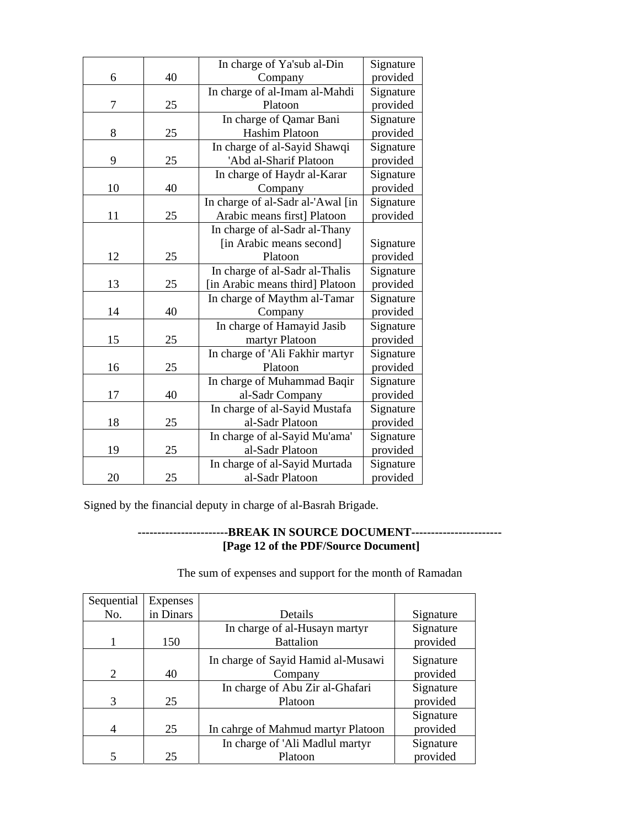|    |    | In charge of Ya'sub al-Din        | Signature |
|----|----|-----------------------------------|-----------|
| 6  | 40 | Company                           | provided  |
|    |    | In charge of al-Imam al-Mahdi     | Signature |
| 7  | 25 | Platoon                           | provided  |
|    |    | In charge of Qamar Bani           | Signature |
| 8  | 25 | Hashim Platoon                    | provided  |
|    |    | In charge of al-Sayid Shawqi      | Signature |
| 9  | 25 | 'Abd al-Sharif Platoon            | provided  |
|    |    | In charge of Haydr al-Karar       | Signature |
| 10 | 40 | Company                           | provided  |
|    |    | In charge of al-Sadr al-'Awal [in | Signature |
| 11 | 25 | Arabic means first] Platoon       | provided  |
|    |    | In charge of al-Sadr al-Thany     |           |
|    |    | [in Arabic means second]          | Signature |
| 12 | 25 | Platoon                           | provided  |
|    |    | In charge of al-Sadr al-Thalis    | Signature |
| 13 | 25 | [in Arabic means third] Platoon   | provided  |
|    |    | In charge of Maythm al-Tamar      | Signature |
| 14 | 40 | Company                           | provided  |
|    |    | In charge of Hamayid Jasib        | Signature |
| 15 | 25 | martyr Platoon                    | provided  |
|    |    | In charge of 'Ali Fakhir martyr   | Signature |
| 16 | 25 | Platoon                           | provided  |
|    |    | In charge of Muhammad Baqir       | Signature |
| 17 | 40 | al-Sadr Company                   | provided  |
|    |    | In charge of al-Sayid Mustafa     | Signature |
| 18 | 25 | al-Sadr Platoon                   | provided  |
|    |    | In charge of al-Sayid Mu'ama'     | Signature |
| 19 | 25 | al-Sadr Platoon                   | provided  |
|    |    | In charge of al-Sayid Murtada     | Signature |
| 20 | 25 | al-Sadr Platoon                   | provided  |

Signed by the financial deputy in charge of al-Basrah Brigade.

# **-----------------------BREAK IN SOURCE DOCUMENT----------------------- [Page 12 of the PDF/Source Document]**

The sum of expenses and support for the month of Ramadan

| Sequential                  | Expenses  |                                    |           |
|-----------------------------|-----------|------------------------------------|-----------|
| No.                         | in Dinars | Details                            | Signature |
|                             |           | In charge of al-Husayn martyr      | Signature |
|                             | 150       | <b>Battalion</b>                   | provided  |
|                             |           | In charge of Sayid Hamid al-Musawi | Signature |
| $\mathcal{D}_{\mathcal{L}}$ | 40        | Company                            | provided  |
|                             |           | In charge of Abu Zir al-Ghafari    | Signature |
| 3                           | 25        | Platoon                            | provided  |
|                             |           |                                    | Signature |
| 4                           | 25        | In cahrge of Mahmud martyr Platoon | provided  |
|                             |           | In charge of 'Ali Madlul martyr    | Signature |
| 5                           | 25        | Platoon                            | provided  |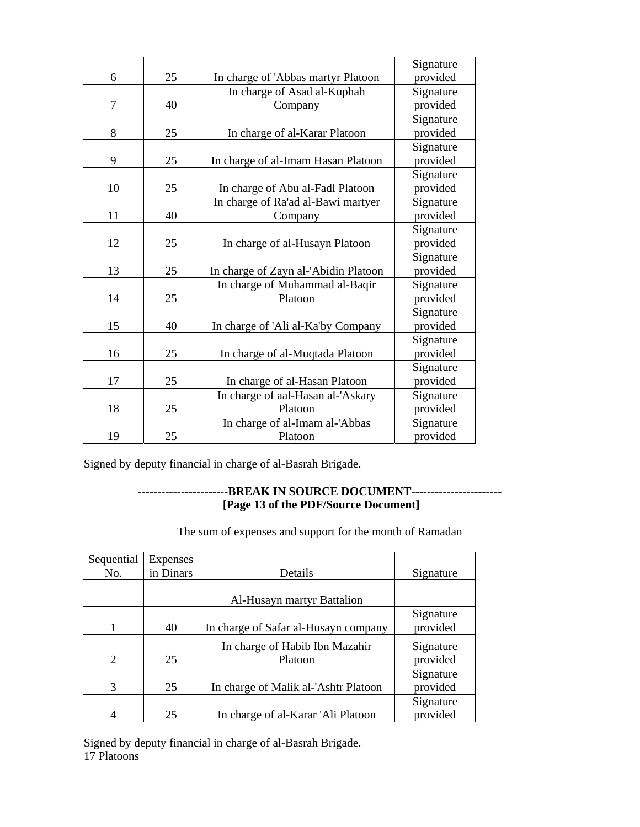|    |    |                                      | Signature |
|----|----|--------------------------------------|-----------|
| 6  | 25 | In charge of 'Abbas martyr Platoon   | provided  |
|    |    | In charge of Asad al-Kuphah          | Signature |
| 7  | 40 | Company                              | provided  |
|    |    |                                      | Signature |
| 8  | 25 | In charge of al-Karar Platoon        | provided  |
|    |    |                                      | Signature |
| 9  | 25 | In charge of al-Imam Hasan Platoon   | provided  |
|    |    |                                      | Signature |
| 10 | 25 | In charge of Abu al-Fadl Platoon     | provided  |
|    |    | In charge of Ra'ad al-Bawi martyer   | Signature |
| 11 | 40 | Company                              | provided  |
|    |    |                                      | Signature |
| 12 | 25 | In charge of al-Husayn Platoon       | provided  |
|    |    |                                      | Signature |
| 13 | 25 | In charge of Zayn al-'Abidin Platoon | provided  |
|    |    | In charge of Muhammad al-Baqir       | Signature |
| 14 | 25 | Platoon                              | provided  |
|    |    |                                      | Signature |
| 15 | 40 | In charge of 'Ali al-Ka'by Company   | provided  |
|    |    |                                      | Signature |
| 16 | 25 | In charge of al-Muqtada Platoon      | provided  |
|    |    |                                      | Signature |
| 17 | 25 | In charge of al-Hasan Platoon        | provided  |
|    |    | In charge of aal-Hasan al-'Askary    | Signature |
| 18 | 25 | Platoon                              | provided  |
|    |    | In charge of al-Imam al-'Abbas       | Signature |
| 19 | 25 | Platoon                              | provided  |

Signed by deputy financial in charge of al-Basrah Brigade.

# **-----------------------BREAK IN SOURCE DOCUMENT----------------------- [Page 13 of the PDF/Source Document]**

The sum of expenses and support for the month of Ramadan

| Sequential | <b>Expenses</b> |                                      |           |
|------------|-----------------|--------------------------------------|-----------|
| No.        | in Dinars       | Details                              | Signature |
|            |                 |                                      |           |
|            |                 | Al-Husayn martyr Battalion           |           |
|            |                 |                                      | Signature |
|            | 40              | In charge of Safar al-Husayn company | provided  |
|            |                 | In charge of Habib Ibn Mazahir       | Signature |
| 2          | 25              | Platoon                              | provided  |
|            |                 |                                      | Signature |
| 3          | 25              | In charge of Malik al-'Ashtr Platoon | provided  |
|            |                 |                                      | Signature |
|            | 25              | In charge of al-Karar 'Ali Platoon   | provided  |

Signed by deputy financial in charge of al-Basrah Brigade. 17 Platoons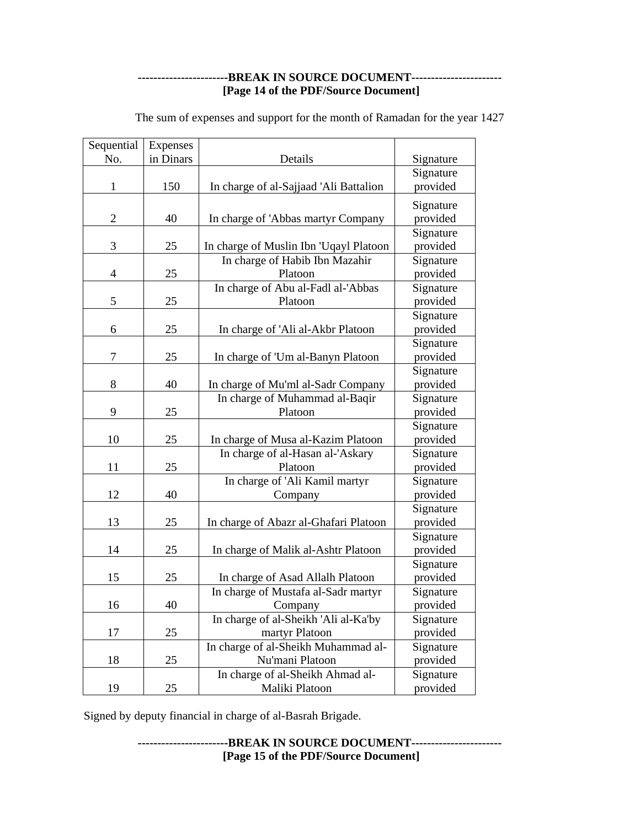### **-----------------------BREAK IN SOURCE DOCUMENT----------------------- [Page 14 of the PDF/Source Document]**

| Sequential     | Expenses  |                                        |           |
|----------------|-----------|----------------------------------------|-----------|
| No.            | in Dinars | Details                                | Signature |
|                |           |                                        | Signature |
| 1              | 150       | In charge of al-Sajjaad 'Ali Battalion | provided  |
|                |           |                                        | Signature |
| $\overline{2}$ | 40        | In charge of 'Abbas martyr Company     | provided  |
|                |           |                                        | Signature |
| 3              | 25        | In charge of Muslin Ibn 'Uqayl Platoon | provided  |
|                |           | In charge of Habib Ibn Mazahir         | Signature |
| $\overline{4}$ | 25        | Platoon                                | provided  |
|                |           | In charge of Abu al-Fadl al-'Abbas     | Signature |
| 5              | 25        | Platoon                                | provided  |
|                |           |                                        | Signature |
| 6              | 25        | In charge of 'Ali al-Akbr Platoon      | provided  |
|                |           |                                        | Signature |
| 7              | 25        | In charge of 'Um al-Banyn Platoon      | provided  |
|                |           |                                        | Signature |
| 8              | 40        | In charge of Mu'ml al-Sadr Company     | provided  |
|                |           | In charge of Muhammad al-Baqir         | Signature |
| 9              | 25        | Platoon                                | provided  |
|                |           |                                        | Signature |
| 10             | 25        | In charge of Musa al-Kazim Platoon     | provided  |
|                |           | In charge of al-Hasan al-'Askary       | Signature |
| 11             | 25        | Platoon                                | provided  |
|                |           | In charge of 'Ali Kamil martyr         | Signature |
| 12             | 40        | Company                                | provided  |
|                |           |                                        | Signature |
| 13             | 25        | In charge of Abazr al-Ghafari Platoon  | provided  |
|                |           |                                        | Signature |
| 14             | 25        | In charge of Malik al-Ashtr Platoon    | provided  |
|                |           |                                        | Signature |
| 15             | 25        | In charge of Asad Allalh Platoon       | provided  |
|                |           | In charge of Mustafa al-Sadr martyr    | Signature |
| 16             | 40        | Company                                | provided  |
|                |           | In charge of al-Sheikh 'Ali al-Ka'by   | Signature |
| 17             | 25        | martyr Platoon                         | provided  |
|                |           | In charge of al-Sheikh Muhammad al-    | Signature |
| 18             | 25        | Nu'mani Platoon                        | provided  |
|                |           | In charge of al-Sheikh Ahmad al-       | Signature |
| 19             | 25        | Maliki Platoon                         | provided  |

The sum of expenses and support for the month of Ramadan for the year 1427

Signed by deputy financial in charge of al-Basrah Brigade.

**-----------------------BREAK IN SOURCE DOCUMENT----------------------- [Page 15 of the PDF/Source Document]**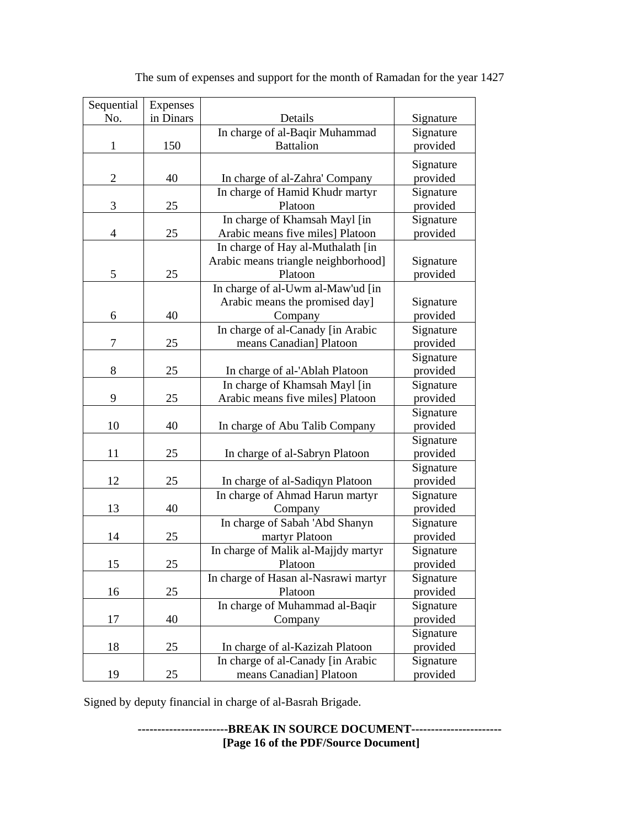| Sequential     | Expenses  |                                      |           |
|----------------|-----------|--------------------------------------|-----------|
| No.            | in Dinars | Details                              | Signature |
|                |           | In charge of al-Baqir Muhammad       | Signature |
| 1              | 150       | <b>Battalion</b>                     | provided  |
|                |           |                                      | Signature |
| $\overline{c}$ | 40        | In charge of al-Zahra' Company       | provided  |
|                |           | In charge of Hamid Khudr martyr      | Signature |
| 3              | 25        | Platoon                              | provided  |
|                |           | In charge of Khamsah Mayl [in        | Signature |
| 4              | 25        | Arabic means five miles] Platoon     | provided  |
|                |           | In charge of Hay al-Muthalath [in    |           |
|                |           | Arabic means triangle neighborhood]  | Signature |
| 5              | 25        | Platoon                              | provided  |
|                |           | In charge of al-Uwm al-Maw'ud [in    |           |
|                |           | Arabic means the promised day]       | Signature |
| 6              | 40        | Company                              | provided  |
|                |           | In charge of al-Canady [in Arabic    | Signature |
| 7              | 25        | means Canadian] Platoon              | provided  |
|                |           |                                      | Signature |
| 8              | 25        | In charge of al-'Ablah Platoon       | provided  |
|                |           | In charge of Khamsah Mayl [in        | Signature |
| 9              | 25        | Arabic means five miles] Platoon     | provided  |
|                |           |                                      | Signature |
| 10             | 40        | In charge of Abu Talib Company       | provided  |
|                |           |                                      | Signature |
| 11             | 25        | In charge of al-Sabryn Platoon       | provided  |
|                |           |                                      | Signature |
| 12             | 25        | In charge of al-Sadiqyn Platoon      | provided  |
|                |           | In charge of Ahmad Harun martyr      | Signature |
| 13             | 40        | Company                              | provided  |
|                |           | In charge of Sabah 'Abd Shanyn       | Signature |
| 14             | 25        | martyr Platoon                       | provided  |
|                |           | In charge of Malik al-Majjdy martyr  | Signature |
| 15             | 25        | <b>Platoon</b>                       | provided  |
|                |           | In charge of Hasan al-Nasrawi martyr | Signature |
| 16             | 25        | Platoon                              | provided  |
|                |           | In charge of Muhammad al-Baqir       | Signature |
| 17             | 40        | Company                              | provided  |
|                |           |                                      | Signature |
| 18             | 25        | In charge of al-Kazizah Platoon      | provided  |
|                |           | In charge of al-Canady [in Arabic    | Signature |
| 19             | 25        | means Canadian] Platoon              | provided  |

The sum of expenses and support for the month of Ramadan for the year 1427

Signed by deputy financial in charge of al-Basrah Brigade.

**-----------------------BREAK IN SOURCE DOCUMENT----------------------- [Page 16 of the PDF/Source Document]**